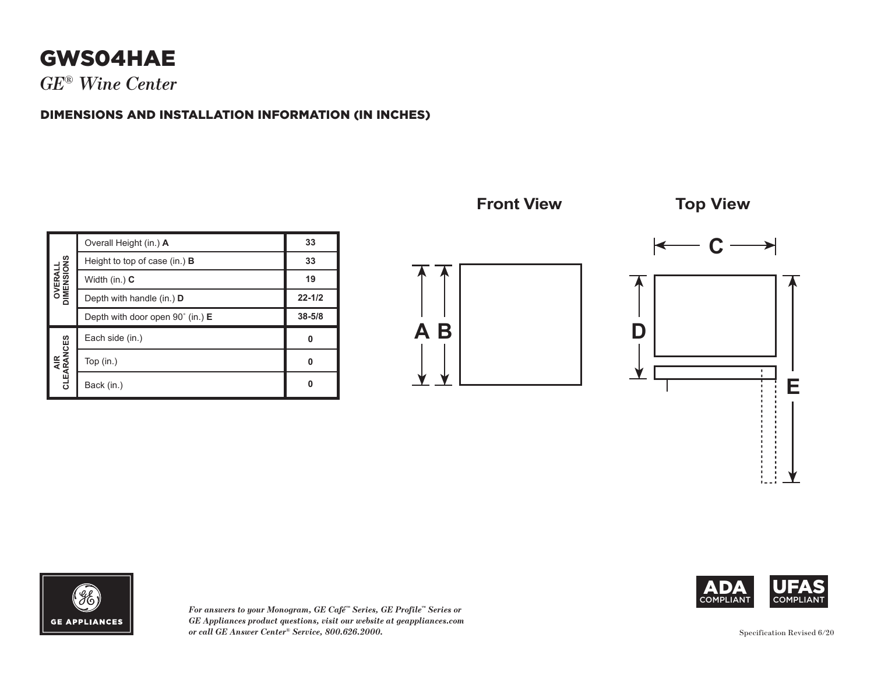## **GWS04HAE**

*GE® Wine Center*

## DIMENSIONS AND INSTALLATION INFORMATION (IN INCHES)

| <b>OVERALL<br/>DIMENSIONS</b> | Overall Height (in.) A                    | 33         |
|-------------------------------|-------------------------------------------|------------|
|                               | Height to top of case (in.) $\bf{B}$      | 33         |
|                               | Width (in.) $C$                           | 19         |
|                               | Depth with handle (in.) D                 | $22 - 1/2$ |
|                               | Depth with door open $90^{\circ}$ (in.) E | $38 - 5/8$ |
| AIR<br>CLEARANCES             | Each side (in.)                           | 0          |
|                               | Top $(in.)$                               | 0          |
|                               | Back (in.)                                | ŋ          |









*For answers to your Monogram, GE Café™ Series, GE Profile™ Series or GE Appliances product questions, visit our website at geappliances.com or call GE Answer Center® Service, 800.626.2000.*